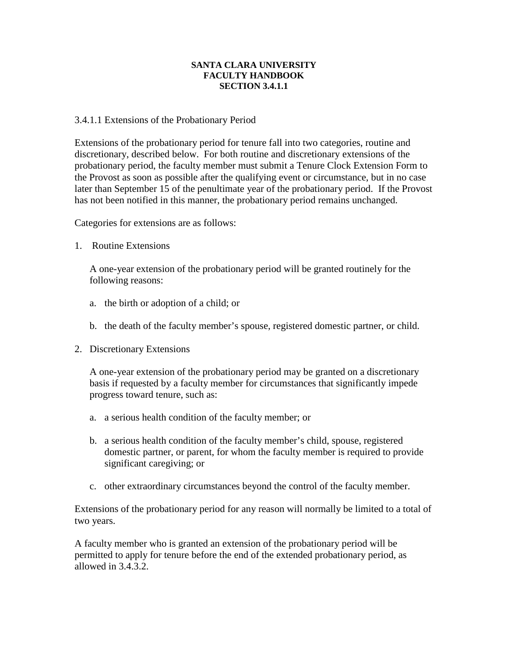## **SANTA CLARA UNIVERSITY FACULTY HANDBOOK SECTION 3.4.1.1**

## 3.4.1.1 Extensions of the Probationary Period

Extensions of the probationary period for tenure fall into two categories, routine and discretionary, described below. For both routine and discretionary extensions of the probationary period, the faculty member must submit a Tenure Clock Extension Form to the Provost as soon as possible after the qualifying event or circumstance, but in no case later than September 15 of the penultimate year of the probationary period. If the Provost has not been notified in this manner, the probationary period remains unchanged.

Categories for extensions are as follows:

1. Routine Extensions

A one-year extension of the probationary period will be granted routinely for the following reasons:

- a. the birth or adoption of a child; or
- b. the death of the faculty member's spouse, registered domestic partner, or child.
- 2. Discretionary Extensions

A one-year extension of the probationary period may be granted on a discretionary basis if requested by a faculty member for circumstances that significantly impede progress toward tenure, such as:

- a. a serious health condition of the faculty member; or
- b. a serious health condition of the faculty member's child, spouse, registered domestic partner, or parent, for whom the faculty member is required to provide significant caregiving; or
- c. other extraordinary circumstances beyond the control of the faculty member.

Extensions of the probationary period for any reason will normally be limited to a total of two years.

A faculty member who is granted an extension of the probationary period will be permitted to apply for tenure before the end of the extended probationary period, as allowed in 3.4.3.2.